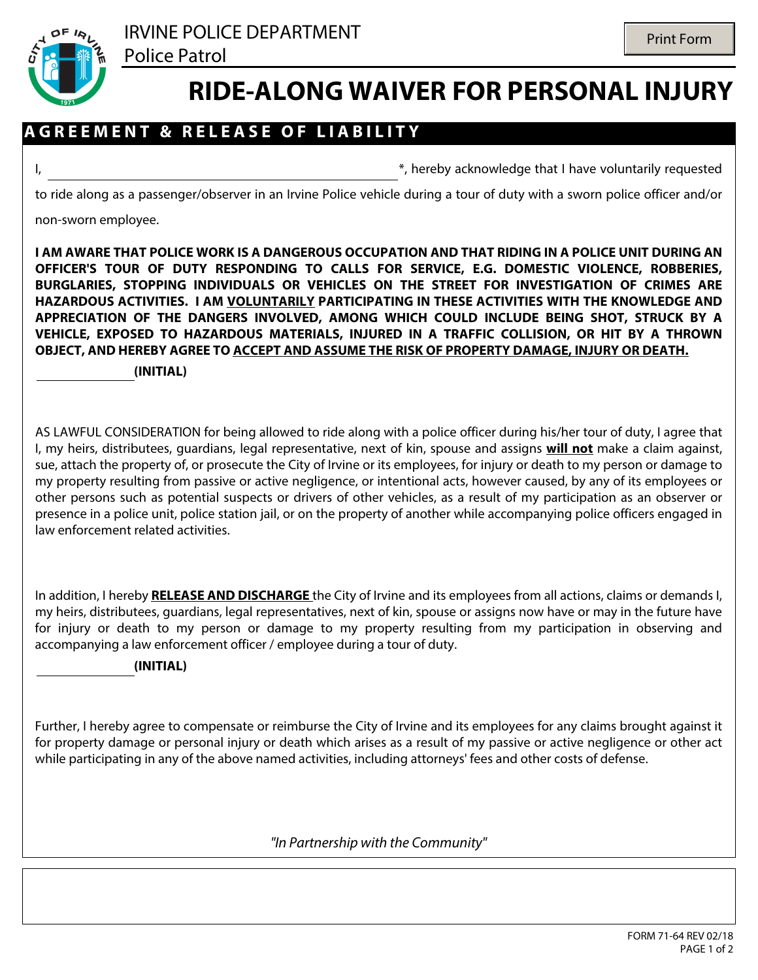

j

## **RIDE-ALONG WAIVER FOR PERSONAL INJURY**

## **A G R E E M E N T & R E L E A S E O F L I A B I L I T Y**

I, thereby acknowledge that I have voluntarily requested

to ride along as a passenger/observer in an Irvine Police vehicle during a tour of duty with a sworn police officer and/or

non-sworn employee.

**I AM AWARE THAT POLICE WORK IS A DANGEROUS OCCUPATION AND THAT RIDING IN A POLICE UNIT DURING AN OFFICER'S TOUR OF DUTY RESPONDING TO CALLS FOR SERVICE, E.G. DOMESTIC VIOLENCE, ROBBERIES, BURGLARIES, STOPPING INDIVIDUALS OR VEHICLES ON THE STREET FOR INVESTIGATION OF CRIMES ARE HAZARDOUS ACTIVITIES. I AM VOLUNTARILY PARTICIPATING IN THESE ACTIVITIES WITH THE KNOWLEDGE AND APPRECIATION OF THE DANGERS INVOLVED, AMONG WHICH COULD INCLUDE BEING SHOT, STRUCK BY A VEHICLE, EXPOSED TO HAZARDOUS MATERIALS, INJURED IN A TRAFFIC COLLISION, OR HIT BY A THROWN OBJECT, AND HEREBY AGREE TO ACCEPT AND ASSUME THE RISK OF PROPERTY DAMAGE, INJURY OR DEATH.**

**(INITIAL)**

AS LAWFUL CONSIDERATION for being allowed to ride along with a police officer during his/her tour of duty, I agree that I, my heirs, distributees, guardians, legal representative, next of kin, spouse and assigns **will not** make a claim against, sue, attach the property of, or prosecute the City of Irvine or its employees, for injury or death to my person or damage to my property resulting from passive or active negligence, or intentional acts, however caused, by any of its employees or other persons such as potential suspects or drivers of other vehicles, as a result of my participation as an observer or presence in a police unit, police station jail, or on the property of another while accompanying police officers engaged in law enforcement related activities.

In addition, I hereby **RELEASE AND DISCHARGE** the City of Irvine and its employees from all actions, claims or demands I, my heirs, distributees, guardians, legal representatives, next of kin, spouse or assigns now have or may in the future have for injury or death to my person or damage to my property resulting from my participation in observing and accompanying a law enforcement officer / employee during a tour of duty.

## **(INITIAL)**

Further, I hereby agree to compensate or reimburse the City of Irvine and its employees for any claims brought against it for property damage or personal injury or death which arises as a result of my passive or active negligence or other act while participating in any of the above named activities, including attorneys' fees and other costs of defense.

*"In Partnership with the Community"*